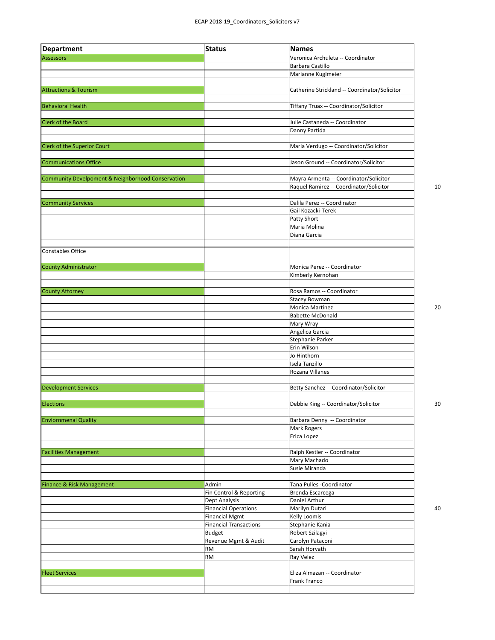| <b>Department</b>                                 | <b>Status</b>                 | <b>Names</b>                                  |    |
|---------------------------------------------------|-------------------------------|-----------------------------------------------|----|
| <b>Assessors</b>                                  |                               | Veronica Archuleta -- Coordinator             |    |
|                                                   |                               | Barbara Castillo                              |    |
|                                                   |                               | Marianne Kuglmeier                            |    |
|                                                   |                               |                                               |    |
| <b>Attractions &amp; Tourism</b>                  |                               | Catherine Strickland -- Coordinator/Solicitor |    |
|                                                   |                               |                                               |    |
| <b>Behavioral Health</b>                          |                               | Tiffany Truax -- Coordinator/Solicitor        |    |
|                                                   |                               |                                               |    |
| <b>Clerk of the Board</b>                         |                               | Julie Castaneda -- Coordinator                |    |
|                                                   |                               | Danny Partida                                 |    |
| Clerk of the Superior Court                       |                               | Maria Verdugo -- Coordinator/Solicitor        |    |
|                                                   |                               |                                               |    |
| <b>Communications Office</b>                      |                               | Jason Ground -- Coordinator/Solicitor         |    |
|                                                   |                               |                                               |    |
| Community Develpoment & Neighborhood Conservation |                               | Mayra Armenta -- Coordinator/Solicitor        |    |
|                                                   |                               | Raquel Ramirez -- Coordinator/Solicitor       | 10 |
|                                                   |                               |                                               |    |
| <b>Community Services</b>                         |                               | Dalila Perez -- Coordinator                   |    |
|                                                   |                               | Gail Kozacki-Terek                            |    |
|                                                   |                               | Patty Short                                   |    |
|                                                   |                               | Maria Molina                                  |    |
|                                                   |                               | Diana Garcia                                  |    |
|                                                   |                               |                                               |    |
| <b>Constables Office</b>                          |                               |                                               |    |
|                                                   |                               |                                               |    |
| County Administrator                              |                               | Monica Perez -- Coordinator                   |    |
|                                                   |                               | Kimberly Kernohan                             |    |
| <b>County Attorney</b>                            |                               | Rosa Ramos -- Coordinator                     |    |
|                                                   |                               | <b>Stacey Bowman</b>                          |    |
|                                                   |                               | Monica Martinez                               | 20 |
|                                                   |                               | <b>Babette McDonald</b>                       |    |
|                                                   |                               | Mary Wray                                     |    |
|                                                   |                               | Angelica Garcia                               |    |
|                                                   |                               | Stephanie Parker                              |    |
|                                                   |                               | Erin Wilson                                   |    |
|                                                   |                               | Jo Hinthorn                                   |    |
|                                                   |                               | Isela Tanzillo                                |    |
|                                                   |                               | Rozana Villanes                               |    |
|                                                   |                               |                                               |    |
| <b>Development Services</b>                       |                               | Betty Sanchez -- Coordinator/Solicitor        |    |
|                                                   |                               |                                               |    |
| <b>Elections</b>                                  |                               | Debbie King -- Coordinator/Solicitor          | 30 |
| <b>Enviornmenal Quality</b>                       |                               | Barbara Denny -- Coordinator                  |    |
|                                                   |                               | Mark Rogers                                   |    |
|                                                   |                               | Erica Lopez                                   |    |
|                                                   |                               |                                               |    |
| <b>Facilities Management</b>                      |                               | Ralph Kestler -- Coordinator                  |    |
|                                                   |                               | Mary Machado                                  |    |
|                                                   |                               | Susie Miranda                                 |    |
|                                                   |                               |                                               |    |
| Finance & Risk Management                         | Admin                         | Tana Pulles - Coordinator                     |    |
|                                                   | Fin Control & Reporting       | Brenda Escarcega                              |    |
|                                                   | Dept Analysis                 | Daniel Arthur                                 |    |
|                                                   | <b>Financial Operations</b>   | Marilyn Dutari                                | 40 |
|                                                   | <b>Financial Mgmt</b>         | <b>Kelly Loomis</b>                           |    |
|                                                   | <b>Financial Transactions</b> | Stephanie Kania                               |    |
|                                                   | Budget                        | Robert Szilagyi                               |    |
|                                                   | Revenue Mgmt & Audit          | Carolyn Pataconi<br>Sarah Horvath             |    |
|                                                   | <b>RM</b><br><b>RM</b>        | Ray Velez                                     |    |
|                                                   |                               |                                               |    |
| <b>Fleet Services</b>                             |                               | Eliza Almazan -- Coordinator                  |    |
|                                                   |                               | Frank Franco                                  |    |
|                                                   |                               |                                               |    |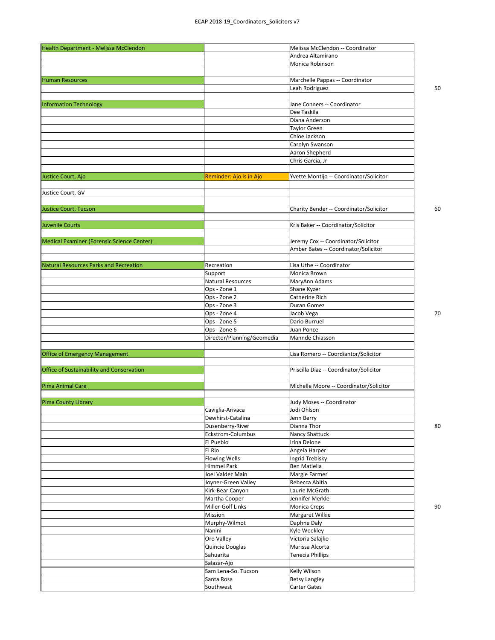| Health Department - Melissa McClendon      |                            | Melissa McClendon -- Coordinator        |    |
|--------------------------------------------|----------------------------|-----------------------------------------|----|
|                                            |                            | Andrea Altamirano                       |    |
|                                            |                            | Monica Robinson                         |    |
|                                            |                            |                                         |    |
| <b>Human Resources</b>                     |                            | Marchelle Pappas -- Coordinator         |    |
|                                            |                            | Leah Rodriguez                          | 50 |
|                                            |                            |                                         |    |
| <b>Information Technology</b>              |                            | Jane Conners -- Coordinator             |    |
|                                            |                            | Dee Taskila                             |    |
|                                            |                            | Diana Anderson                          |    |
|                                            |                            | <b>Taylor Green</b>                     |    |
|                                            |                            | Chloe Jackson                           |    |
|                                            |                            | Carolyn Swanson                         |    |
|                                            |                            | Aaron Shepherd                          |    |
|                                            |                            | Chris Garcia, Jr                        |    |
|                                            |                            |                                         |    |
| Justice Court, Ajo                         | Reminder: Ajo is in Ajo    | Yvette Montijo -- Coordinator/Solicitor |    |
|                                            |                            |                                         |    |
| Justice Court, GV                          |                            |                                         |    |
|                                            |                            |                                         |    |
| Justice Court, Tucson                      |                            | Charity Bender -- Coordinator/Solicitor | 60 |
|                                            |                            |                                         |    |
| <b>Juvenile Courts</b>                     |                            | Kris Baker -- Coordinator/Solicitor     |    |
|                                            |                            |                                         |    |
| Medical Examiner (Forensic Science Center) |                            | Jeremy Cox -- Coordinator/Solicitor     |    |
|                                            |                            | Amber Bates -- Coordinator/Solicitor    |    |
|                                            |                            |                                         |    |
| Natural Resources Parks and Recreation     | Recreation                 | Lisa Uthe -- Coordinator                |    |
|                                            | Support                    | Monica Brown                            |    |
|                                            | Natural Resources          | MaryAnn Adams                           |    |
|                                            | Ops - Zone 1               | Shane Kyzer                             |    |
|                                            | Ops - Zone 2               | Catherine Rich                          |    |
|                                            | Ops - Zone 3               | Duran Gomez                             |    |
|                                            | Ops - Zone 4               | Jacob Vega                              | 70 |
|                                            | Ops - Zone 5               | Dario Burruel                           |    |
|                                            | Ops - Zone 6               | Juan Ponce                              |    |
|                                            | Director/Planning/Geomedia | Mannde Chiasson                         |    |
|                                            |                            |                                         |    |
| <b>Office of Emergency Management</b>      |                            | Lisa Romero -- Coordiantor/Solicitor    |    |
|                                            |                            |                                         |    |
| Office of Sustainability and Conservation  |                            | Priscilla Diaz -- Coordinator/Solicitor |    |
|                                            |                            |                                         |    |
| Pima Animal Care                           |                            | Michelle Moore -- Coordinator/Solicitor |    |
|                                            |                            |                                         |    |
| Pima County Library                        |                            | Judy Moses -- Coordinator               |    |
|                                            | Caviglia-Arivaca           | Jodi Ohlson                             |    |
|                                            | Dewhirst-Catalina          | Jenn Berry                              |    |
|                                            | Dusenberry-River           | Dianna Thor                             | 80 |
|                                            | Eckstrom-Columbus          | Nancy Shattuck                          |    |
|                                            | El Pueblo                  | Irina Delone                            |    |
|                                            | El Rio                     | Angela Harper                           |    |
|                                            | Flowing Wells              | Ingrid Trebisky                         |    |
|                                            | Himmel Park                | Ben Matiella                            |    |
|                                            | Joel Valdez Main           | Margie Farmer                           |    |
|                                            | Joyner-Green Valley        | Rebecca Abitia                          |    |
|                                            | Kirk-Bear Canyon           | Laurie McGrath                          |    |
|                                            | Martha Cooper              | Jennifer Merkle                         |    |
|                                            | Miller-Golf Links          | <b>Monica Creps</b>                     | 90 |
|                                            | Mission                    | Margaret Wilkie                         |    |
|                                            | Murphy-Wilmot              | Daphne Daly                             |    |
|                                            | Nanini                     | Kyle Weekley                            |    |
|                                            | Oro Valley                 | Victoria Salajko                        |    |
|                                            | Quincie Douglas            | Marissa Alcorta                         |    |
|                                            | Sahuarita                  | <b>Tenecia Phillips</b>                 |    |
|                                            | Salazar-Ajo                |                                         |    |
|                                            | Sam Lena-So. Tucson        | Kelly Wilson                            |    |
|                                            | Santa Rosa                 | <b>Betsy Langley</b>                    |    |
|                                            | Southwest                  | Carter Gates                            |    |
|                                            |                            |                                         |    |